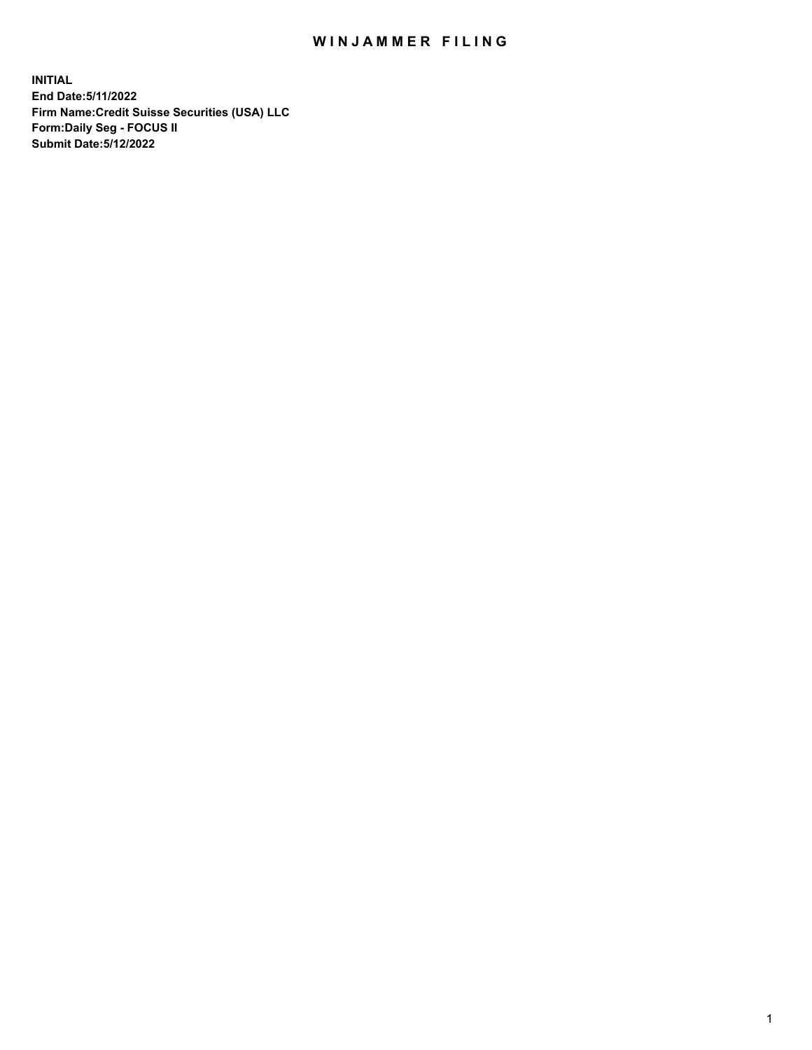## WIN JAMMER FILING

**INITIAL End Date:5/11/2022 Firm Name:Credit Suisse Securities (USA) LLC Form:Daily Seg - FOCUS II Submit Date:5/12/2022**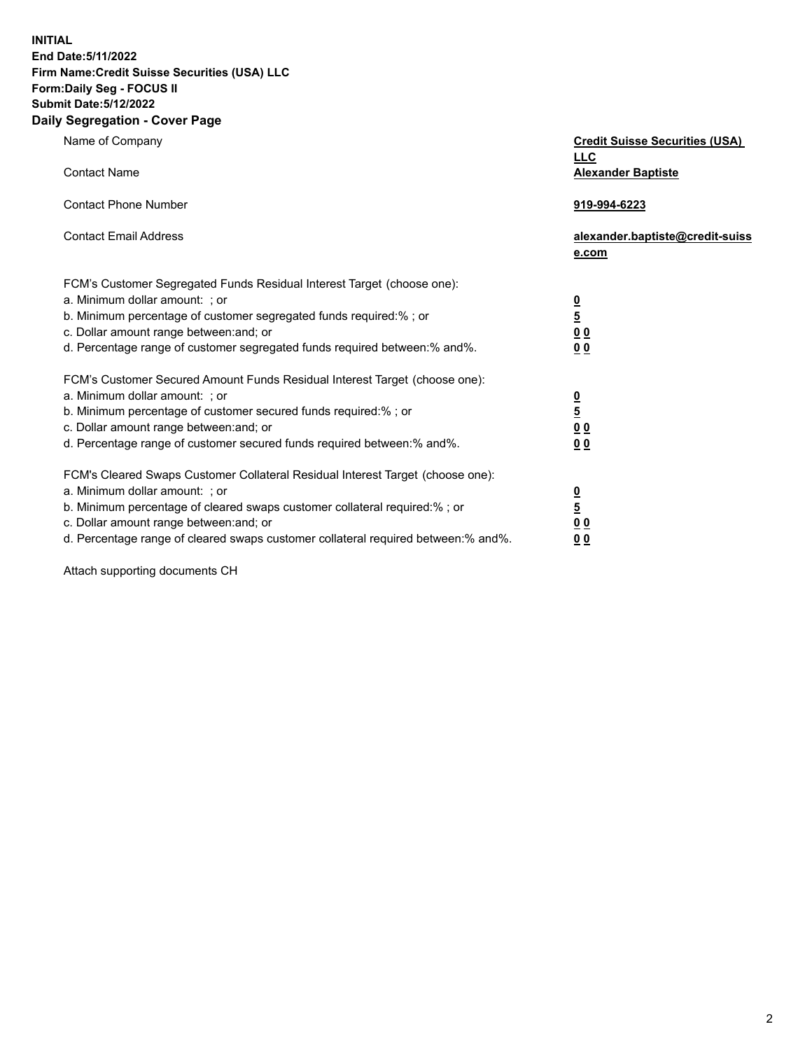**INITIAL End Date:5/11/2022** 

## **Firm Name:Credit Suisse Securities (USA) LLC Form:Daily Seg - FOCUS II Submit Date:5/12/2022**

## **Daily Segregation - Cover Page**

| Name of Company                                                                                                                                                                                                                                                                                                                | <b>Credit Suisse Securities (USA)</b><br><b>LLC</b>              |
|--------------------------------------------------------------------------------------------------------------------------------------------------------------------------------------------------------------------------------------------------------------------------------------------------------------------------------|------------------------------------------------------------------|
| <b>Contact Name</b>                                                                                                                                                                                                                                                                                                            | <b>Alexander Baptiste</b>                                        |
| <b>Contact Phone Number</b>                                                                                                                                                                                                                                                                                                    | 919-994-6223                                                     |
| <b>Contact Email Address</b>                                                                                                                                                                                                                                                                                                   | alexander.baptiste@credit-suiss<br>e.com                         |
| FCM's Customer Segregated Funds Residual Interest Target (choose one):<br>a. Minimum dollar amount: ; or<br>b. Minimum percentage of customer segregated funds required:% ; or<br>c. Dollar amount range between: and; or<br>d. Percentage range of customer segregated funds required between:% and%.                         | $\frac{0}{5}$<br>0 <sub>0</sub><br>0 <sub>0</sub>                |
| FCM's Customer Secured Amount Funds Residual Interest Target (choose one):<br>a. Minimum dollar amount: ; or<br>b. Minimum percentage of customer secured funds required:%; or<br>c. Dollar amount range between: and; or<br>d. Percentage range of customer secured funds required between:% and%.                            | $\frac{0}{5}$<br>$\underline{0} \underline{0}$<br>0 <sub>0</sub> |
| FCM's Cleared Swaps Customer Collateral Residual Interest Target (choose one):<br>a. Minimum dollar amount: ; or<br>b. Minimum percentage of cleared swaps customer collateral required:% ; or<br>c. Dollar amount range between: and; or<br>d. Percentage range of cleared swaps customer collateral required between:% and%. | $\frac{0}{5}$<br>0 <sub>0</sub><br>0 <sub>0</sub>                |

Attach supporting documents CH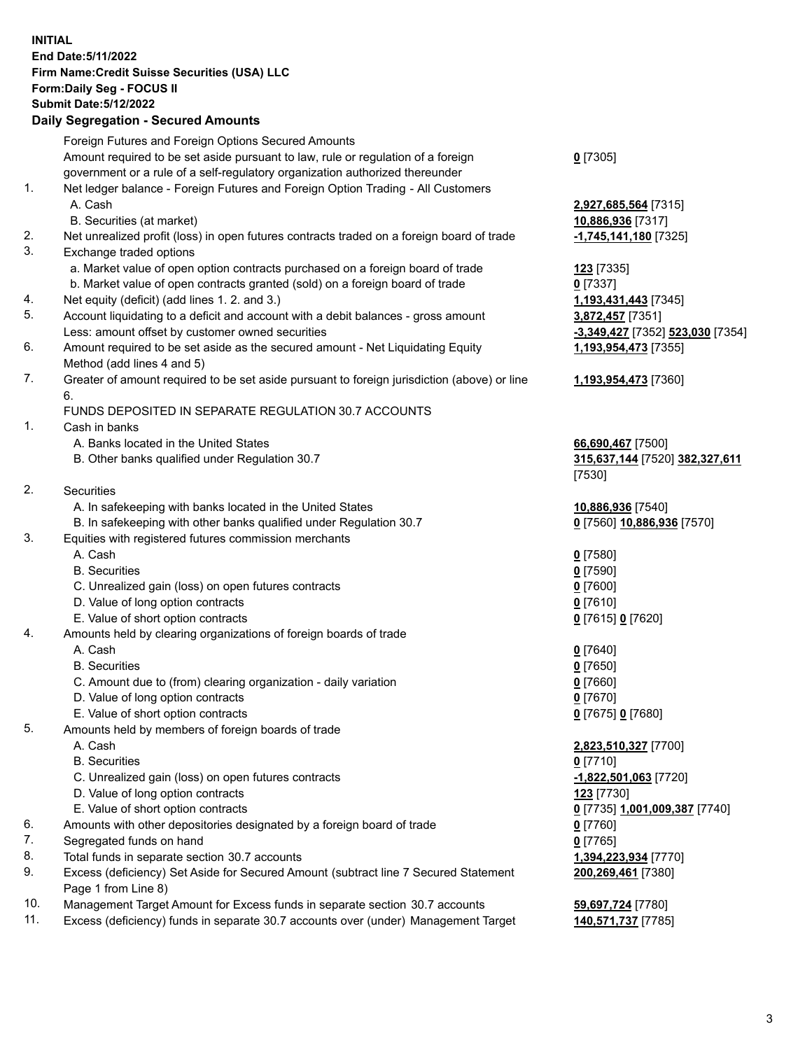**INITIAL End Date:5/11/2022 Firm Name:Credit Suisse Securities (USA) LLC Form:Daily Seg - FOCUS II Submit Date:5/12/2022**

## **Daily Segregation - Secured Amounts**

|     | Foreign Futures and Foreign Options Secured Amounts                                         |                                  |
|-----|---------------------------------------------------------------------------------------------|----------------------------------|
|     | Amount required to be set aside pursuant to law, rule or regulation of a foreign            | $0$ [7305]                       |
|     | government or a rule of a self-regulatory organization authorized thereunder                |                                  |
| 1.  | Net ledger balance - Foreign Futures and Foreign Option Trading - All Customers             |                                  |
|     | A. Cash                                                                                     | 2,927,685,564 [7315]             |
|     | B. Securities (at market)                                                                   | 10,886,936 [7317]                |
| 2.  | Net unrealized profit (loss) in open futures contracts traded on a foreign board of trade   | -1,745,141,180 [7325]            |
| 3.  | Exchange traded options                                                                     |                                  |
|     | a. Market value of open option contracts purchased on a foreign board of trade              | 123 [7335]                       |
|     | b. Market value of open contracts granted (sold) on a foreign board of trade                | $0$ [7337]                       |
| 4.  | Net equity (deficit) (add lines 1. 2. and 3.)                                               | 1,193,431,443 [7345]             |
| 5.  | Account liquidating to a deficit and account with a debit balances - gross amount           | 3,872,457 [7351]                 |
|     | Less: amount offset by customer owned securities                                            | -3,349,427 [7352] 523,030 [7354] |
| 6.  | Amount required to be set aside as the secured amount - Net Liquidating Equity              | 1,193,954,473 [7355]             |
|     | Method (add lines 4 and 5)                                                                  |                                  |
| 7.  | Greater of amount required to be set aside pursuant to foreign jurisdiction (above) or line | 1,193,954,473 [7360]             |
|     | 6.                                                                                          |                                  |
|     | FUNDS DEPOSITED IN SEPARATE REGULATION 30.7 ACCOUNTS                                        |                                  |
| 1.  | Cash in banks                                                                               |                                  |
|     | A. Banks located in the United States                                                       | 66,690,467 [7500]                |
|     | B. Other banks qualified under Regulation 30.7                                              | 315,637,144 [7520] 382,327,611   |
|     |                                                                                             | [7530]                           |
| 2.  | Securities                                                                                  |                                  |
|     | A. In safekeeping with banks located in the United States                                   | 10,886,936 [7540]                |
|     | B. In safekeeping with other banks qualified under Regulation 30.7                          | 0 [7560] 10,886,936 [7570]       |
| 3.  | Equities with registered futures commission merchants                                       |                                  |
|     | A. Cash                                                                                     | $0$ [7580]                       |
|     | <b>B.</b> Securities                                                                        | $0$ [7590]                       |
|     | C. Unrealized gain (loss) on open futures contracts                                         | $0$ [7600]                       |
|     | D. Value of long option contracts                                                           | $0$ [7610]                       |
|     | E. Value of short option contracts                                                          | 0 [7615] 0 [7620]                |
| 4.  | Amounts held by clearing organizations of foreign boards of trade                           |                                  |
|     | A. Cash                                                                                     | $0$ [7640]                       |
|     | <b>B.</b> Securities                                                                        | $0$ [7650]                       |
|     | C. Amount due to (from) clearing organization - daily variation                             | $0$ [7660]                       |
|     | D. Value of long option contracts                                                           | $0$ [7670]                       |
|     | E. Value of short option contracts                                                          | 0 [7675] 0 [7680]                |
| 5.  | Amounts held by members of foreign boards of trade                                          |                                  |
|     | A. Cash                                                                                     | 2,823,510,327 [7700]             |
|     | <b>B.</b> Securities                                                                        | $0$ [7710]                       |
|     | C. Unrealized gain (loss) on open futures contracts                                         | -1,822,501,063 [7720]            |
|     | D. Value of long option contracts                                                           | 123 [7730]                       |
|     | E. Value of short option contracts                                                          | 0 [7735] 1,001,009,387 [7740]    |
| 6.  | Amounts with other depositories designated by a foreign board of trade                      | $0$ [7760]                       |
| 7.  | Segregated funds on hand                                                                    | $0$ [7765]                       |
| 8.  | Total funds in separate section 30.7 accounts                                               | 1,394,223,934 [7770]             |
| 9.  | Excess (deficiency) Set Aside for Secured Amount (subtract line 7 Secured Statement         | 200,269,461 [7380]               |
|     | Page 1 from Line 8)                                                                         |                                  |
| 10. | Management Target Amount for Excess funds in separate section 30.7 accounts                 | 59,697,724 [7780]                |

11. Excess (deficiency) funds in separate 30.7 accounts over (under) Management Target **140,571,737** [7785]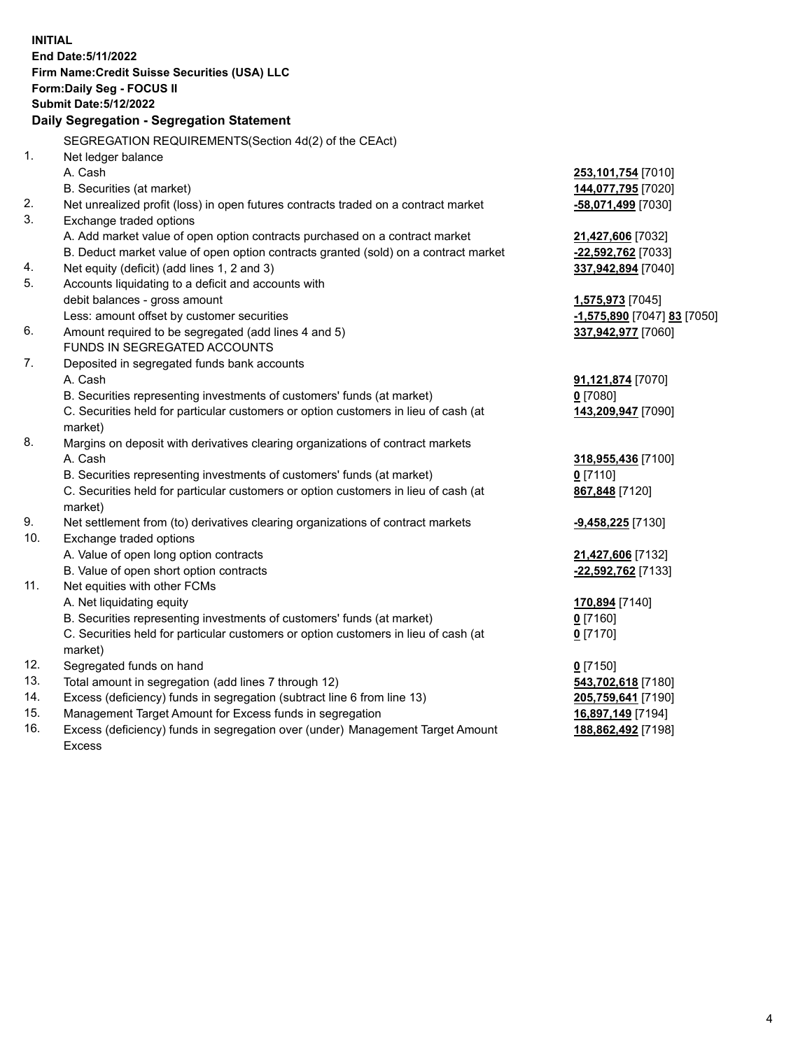**INITIAL End Date:5/11/2022 Firm Name:Credit Suisse Securities (USA) LLC Form:Daily Seg - FOCUS II Submit Date:5/12/2022 Daily Segregation - Segregation Statement** SEGREGATION REQUIREMENTS(Section 4d(2) of the CEAct) 1. Net ledger balance A. Cash **253,101,754** [7010] B. Securities (at market) **144,077,795** [7020] 2. Net unrealized profit (loss) in open futures contracts traded on a contract market **-58,071,499** [7030] 3. Exchange traded options A. Add market value of open option contracts purchased on a contract market **21,427,606** [7032] B. Deduct market value of open option contracts granted (sold) on a contract market **-22,592,762** [7033] 4. Net equity (deficit) (add lines 1, 2 and 3) **337,942,894** [7040] 5. Accounts liquidating to a deficit and accounts with debit balances - gross amount **1,575,973** [7045] Less: amount offset by customer securities **-1,575,890** [7047] **83** [7050] 6. Amount required to be segregated (add lines 4 and 5) **337,942,977** [7060] FUNDS IN SEGREGATED ACCOUNTS 7. Deposited in segregated funds bank accounts A. Cash **91,121,874** [7070] B. Securities representing investments of customers' funds (at market) **0** [7080] C. Securities held for particular customers or option customers in lieu of cash (at market) **143,209,947** [7090] 8. Margins on deposit with derivatives clearing organizations of contract markets A. Cash **318,955,436** [7100] B. Securities representing investments of customers' funds (at market) **0** [7110] C. Securities held for particular customers or option customers in lieu of cash (at market) **867,848** [7120] 9. Net settlement from (to) derivatives clearing organizations of contract markets **-9,458,225** [7130] 10. Exchange traded options A. Value of open long option contracts **21,427,606** [7132] B. Value of open short option contracts **-22,592,762** [7133] 11. Net equities with other FCMs A. Net liquidating equity **170,894** [7140] B. Securities representing investments of customers' funds (at market) **0** [7160] C. Securities held for particular customers or option customers in lieu of cash (at market) **0** [7170] 12. Segregated funds on hand **0** [7150] 13. Total amount in segregation (add lines 7 through 12) **543,702,618** [7180] 14. Excess (deficiency) funds in segregation (subtract line 6 from line 13) **205,759,641** [7190] 15. Management Target Amount for Excess funds in segregation **16,897,149** [7194] 16. Excess (deficiency) funds in segregation over (under) Management Target Amount **188,862,492** [7198]

Excess